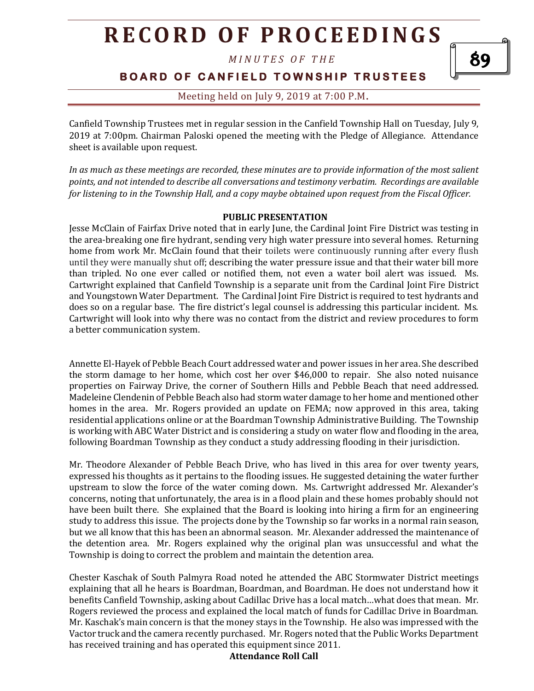# **R E C O R D O F P R O C E E D I N GS**

*M I N U T E S O F T H E* 

89

**BOARD OF CANFIELD TOWNSHIP TRUSTEES** 

### Meeting held on July 9, 2019 at 7:00 P.M**.**

Canfield Township Trustees met in regular session in the Canfield Township Hall on Tuesday, July 9, 2019 at 7:00pm. Chairman Paloski opened the meeting with the Pledge of Allegiance. Attendance sheet is available upon request.

*In as much as these meetings are recorded, these minutes are to provide information of the most salient points, and not intended to describe all conversations and testimony verbatim. Recordings are available for listening to in the Township Hall, and a copy maybe obtained upon request from the Fiscal Officer.* 

#### **PUBLIC PRESENTATION**

Jesse McClain of Fairfax Drive noted that in early June, the Cardinal Joint Fire District was testing in the area-breaking one fire hydrant, sending very high water pressure into several homes. Returning home from work Mr. McClain found that their toilets were continuously running after every flush until they were manually shut off; describing the water pressure issue and that their water bill more than tripled. No one ever called or notified them, not even a water boil alert was issued. Ms. Cartwright explained that Canfield Township is a separate unit from the Cardinal Joint Fire District and Youngstown Water Department. The Cardinal Joint Fire District is required to test hydrants and does so on a regular base. The fire district's legal counsel is addressing this particular incident. Ms. Cartwright will look into why there was no contact from the district and review procedures to form a better communication system.

Annette El-Hayek of Pebble Beach Court addressed water and power issues in her area. She described the storm damage to her home, which cost her over \$46,000 to repair. She also noted nuisance properties on Fairway Drive, the corner of Southern Hills and Pebble Beach that need addressed. Madeleine Clendenin of Pebble Beach also had storm water damage to her home and mentioned other homes in the area. Mr. Rogers provided an update on FEMA; now approved in this area, taking residential applications online or at the Boardman Township Administrative Building. The Township is working with ABC Water District and is considering a study on water flow and flooding in the area, following Boardman Township as they conduct a study addressing flooding in their jurisdiction.

Mr. Theodore Alexander of Pebble Beach Drive, who has lived in this area for over twenty years, expressed his thoughts as it pertains to the flooding issues. He suggested detaining the water further upstream to slow the force of the water coming down. Ms. Cartwright addressed Mr. Alexander's concerns, noting that unfortunately, the area is in a flood plain and these homes probably should not have been built there. She explained that the Board is looking into hiring a firm for an engineering study to address this issue. The projects done by the Township so far works in a normal rain season, but we all know that this has been an abnormal season. Mr. Alexander addressed the maintenance of the detention area. Mr. Rogers explained why the original plan was unsuccessful and what the Township is doing to correct the problem and maintain the detention area.

Chester Kaschak of South Palmyra Road noted he attended the ABC Stormwater District meetings explaining that all he hears is Boardman, Boardman, and Boardman. He does not understand how it benefits Canfield Township, asking about Cadillac Drive has a local match…what does that mean. Mr. Rogers reviewed the process and explained the local match of funds for Cadillac Drive in Boardman. Mr. Kaschak's main concern is that the money stays in the Township. He also was impressed with the Vactor truck and the camera recently purchased. Mr. Rogers noted that the Public Works Department has received training and has operated this equipment since 2011.

**Attendance Roll Call**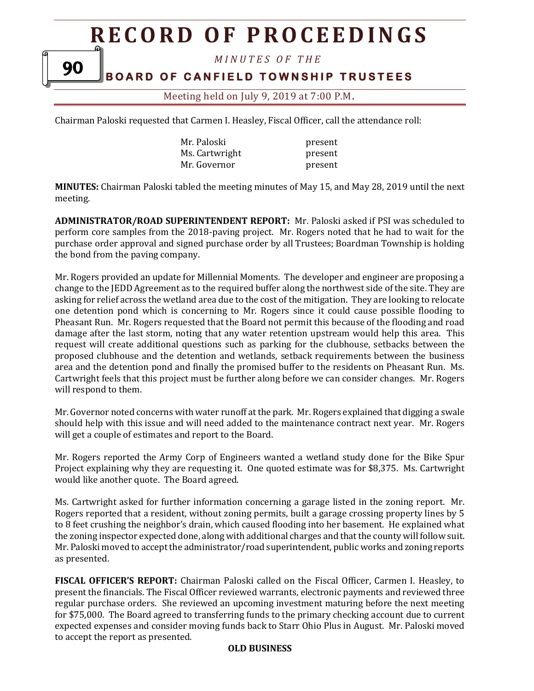## **R E C O R D O F P R O C E E D I N G S**

*M I N U T E S O F T H E* 

**BOARD OF CANFIELD TOWNSHIP TRUSTEES** 

Meeting held on July 9, 2019 at 7:00 P.M**.**

Chairman Paloski requested that Carmen I. Heasley, Fiscal Officer, call the attendance roll:

Mr. Paloski present Ms. Cartwright present Mr. Governor **present** 

90

**MINUTES:** Chairman Paloski tabled the meeting minutes of May 15, and May 28, 2019 until the next meeting.

**ADMINISTRATOR/ROAD SUPERINTENDENT REPORT:** Mr. Paloski asked if PSI was scheduled to perform core samples from the 2018-paving project. Mr. Rogers noted that he had to wait for the purchase order approval and signed purchase order by all Trustees; Boardman Township is holding the bond from the paving company.

Mr. Rogers provided an update for Millennial Moments. The developer and engineer are proposing a change to the JEDD Agreement as to the required buffer along the northwest side of the site. They are asking for relief across the wetland area due to the cost of the mitigation. They are looking to relocate one detention pond which is concerning to Mr. Rogers since it could cause possible flooding to Pheasant Run. Mr. Rogers requested that the Board not permit this because of the flooding and road damage after the last storm, noting that any water retention upstream would help this area. This request will create additional questions such as parking for the clubhouse, setbacks between the proposed clubhouse and the detention and wetlands, setback requirements between the business area and the detention pond and finally the promised buffer to the residents on Pheasant Run. Ms. Cartwright feels that this project must be further along before we can consider changes. Mr. Rogers will respond to them.

Mr. Governor noted concerns with water runoff at the park. Mr. Rogers explained that digging a swale should help with this issue and will need added to the maintenance contract next year. Mr. Rogers will get a couple of estimates and report to the Board.

Mr. Rogers reported the Army Corp of Engineers wanted a wetland study done for the Bike Spur Project explaining why they are requesting it. One quoted estimate was for \$8,375. Ms. Cartwright would like another quote. The Board agreed.

Ms. Cartwright asked for further information concerning a garage listed in the zoning report. Mr. Rogers reported that a resident, without zoning permits, built a garage crossing property lines by 5 to 8 feet crushing the neighbor's drain, which caused flooding into her basement. He explained what the zoning inspector expected done, along with additional charges and that the county will follow suit. Mr. Paloski moved to accept the administrator/road superintendent, public works and zoning reports as presented.

**FISCAL OFFICER'S REPORT:** Chairman Paloski called on the Fiscal Officer, Carmen I. Heasley, to present the financials. The Fiscal Officer reviewed warrants, electronic payments and reviewed three regular purchase orders. She reviewed an upcoming investment maturing before the next meeting for \$75,000. The Board agreed to transferring funds to the primary checking account due to current expected expenses and consider moving funds back to Starr Ohio Plus in August. Mr. Paloski moved to accept the report as presented.

#### **OLD BUSINESS**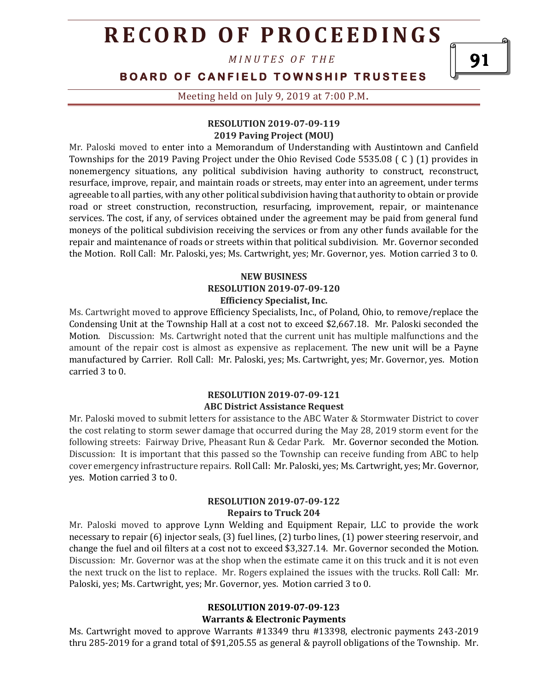# **R E C O R D O F P R O C E E D I N GS**

*M I N U T E S O F T H E* 

### **BOARD OF CANFIELD TOWNSHIP TRUSTEES**

Meeting held on July 9, 2019 at 7:00 P.M**.**

#### **RESOLUTION 2019-07-09-119 2019 Paving Project (MOU)**

Mr. Paloski moved to enter into a Memorandum of Understanding with Austintown and Canfield Townships for the 2019 Paving Project under the Ohio Revised Code 5535.08 ( C ) (1) provides in nonemergency situations, any political subdivision having authority to construct, reconstruct, resurface, improve, repair, and maintain roads or streets, may enter into an agreement, under terms agreeable to all parties, with any other political subdivision having that authority to obtain or provide road or street construction, reconstruction, resurfacing, improvement, repair, or maintenance services. The cost, if any, of services obtained under the agreement may be paid from general fund moneys of the political subdivision receiving the services or from any other funds available for the repair and maintenance of roads or streets within that political subdivision. Mr. Governor seconded the Motion. Roll Call: Mr. Paloski, yes; Ms. Cartwright, yes; Mr. Governor, yes. Motion carried 3 to 0.

#### **NEW BUSINESS RESOLUTION 2019-07-09-120 Efficiency Specialist, Inc.**

Ms. Cartwright moved to approve Efficiency Specialists, Inc., of Poland, Ohio, to remove/replace the Condensing Unit at the Township Hall at a cost not to exceed \$2,667.18. Mr. Paloski seconded the Motion. Discussion: Ms. Cartwright noted that the current unit has multiple malfunctions and the amount of the repair cost is almost as expensive as replacement. The new unit will be a Payne manufactured by Carrier. Roll Call: Mr. Paloski, yes; Ms. Cartwright, yes; Mr. Governor, yes. Motion carried 3 to 0.

#### **RESOLUTION 2019-07-09-121 ABC District Assistance Request**

Mr. Paloski moved to submit letters for assistance to the ABC Water & Stormwater District to cover the cost relating to storm sewer damage that occurred during the May 28, 2019 storm event for the following streets: Fairway Drive, Pheasant Run & Cedar Park. Mr. Governor seconded the Motion. Discussion: It is important that this passed so the Township can receive funding from ABC to help cover emergency infrastructure repairs. Roll Call: Mr. Paloski, yes; Ms. Cartwright, yes; Mr. Governor, yes. Motion carried 3 to 0.

#### **RESOLUTION 2019-07-09-122 Repairs to Truck 204**

Mr. Paloski moved to approve Lynn Welding and Equipment Repair, LLC to provide the work necessary to repair (6) injector seals, (3) fuel lines, (2) turbo lines, (1) power steering reservoir, and change the fuel and oil filters at a cost not to exceed \$3,327.14. Mr. Governor seconded the Motion. Discussion: Mr. Governor was at the shop when the estimate came it on this truck and it is not even the next truck on the list to replace. Mr. Rogers explained the issues with the trucks. Roll Call: Mr. Paloski, yes; Ms. Cartwright, yes; Mr. Governor, yes. Motion carried 3 to 0.

#### **RESOLUTION 2019-07-09-123 Warrants & Electronic Payments**

Ms. Cartwright moved to approve Warrants #13349 thru #13398, electronic payments 243-2019 thru 285-2019 for a grand total of \$91,205.55 as general & payroll obligations of the Township. Mr.

91